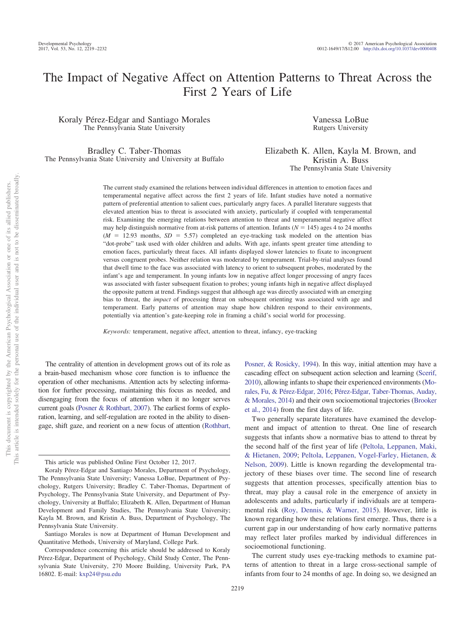# The Impact of Negative Affect on Attention Patterns to Threat Across the First 2 Years of Life

Koraly Pérez-Edgar and Santiago Morales The Pennsylvania State University

Bradley C. Taber-Thomas The Pennsylvania State University and University at Buffalo

Vanessa LoBue Rutgers University

Elizabeth K. Allen, Kayla M. Brown, and Kristin A. Buss The Pennsylvania State University

The current study examined the relations between individual differences in attention to emotion faces and temperamental negative affect across the first 2 years of life. Infant studies have noted a normative pattern of preferential attention to salient cues, particularly angry faces. A parallel literature suggests that elevated attention bias to threat is associated with anxiety, particularly if coupled with temperamental risk. Examining the emerging relations between attention to threat and temperamental negative affect may help distinguish normative from at-risk patterns of attention. Infants  $(N = 145)$  ages 4 to 24 months  $(M = 12.93$  months,  $SD = 5.57$ ) completed an eye-tracking task modeled on the attention bias "dot-probe" task used with older children and adults. With age, infants spent greater time attending to emotion faces, particularly threat faces. All infants displayed slower latencies to fixate to incongruent versus congruent probes. Neither relation was moderated by temperament. Trial-by-trial analyses found that dwell time to the face was associated with latency to orient to subsequent probes, moderated by the infant's age and temperament. In young infants low in negative affect longer processing of angry faces was associated with faster subsequent fixation to probes; young infants high in negative affect displayed the opposite pattern at trend. Findings suggest that although age was directly associated with an emerging bias to threat, the *impact* of processing threat on subsequent orienting was associated with age and temperament. Early patterns of attention may shape how children respond to their environments, potentially via attention's gate-keeping role in framing a child's social world for processing.

*Keywords:* temperament, negative affect, attention to threat, infancy, eye-tracking

The centrality of attention in development grows out of its role as a brain-based mechanism whose core function is to influence the operation of other mechanisms. Attention acts by selecting information for further processing, maintaining this focus as needed, and disengaging from the focus of attention when it no longer serves current goals [\(Posner & Rothbart, 2007\)](#page-13-0). The earliest forms of exploration, learning, and self-regulation are rooted in the ability to disengage, shift gaze, and reorient on a new focus of attention [\(Rothbart,](#page-13-1)

Santiago Morales is now at Department of Human Development and Quantitative Methods, University of Maryland, College Park.

[Posner, & Rosicky, 1994\)](#page-13-1). In this way, initial attention may have a cascading effect on subsequent action selection and learning [\(Scerif,](#page-13-2) [2010\)](#page-13-2), allowing infants to shape their experienced environments [\(Mo](#page-12-0)[rales, Fu, & Pérez-Edgar, 2016;](#page-12-0) [Pérez-Edgar, Taber-Thomas, Auday,](#page-12-1) [& Morales, 2014\)](#page-12-1) and their own socioemotional trajectories [\(Brooker](#page-11-0) [et al., 2014\)](#page-11-0) from the first days of life.

Two generally separate literatures have examined the development and impact of attention to threat. One line of research suggests that infants show a normative bias to attend to threat by the second half of the first year of life [\(Peltola, Leppanen, Maki,](#page-12-2) [& Hietanen, 2009;](#page-12-2) [Peltola, Leppanen, Vogel-Farley, Hietanen, &](#page-12-3) [Nelson, 2009\)](#page-12-3). Little is known regarding the developmental trajectory of these biases over time. The second line of research suggests that attention processes, specifically attention bias to threat, may play a causal role in the emergence of anxiety in adolescents and adults, particularly if individuals are at temperamental risk [\(Roy, Dennis, & Warner, 2015\)](#page-13-3). However, little is known regarding how these relations first emerge. Thus, there is a current gap in our understanding of how early normative patterns may reflect later profiles marked by individual differences in socioemotional functioning.

The current study uses eye-tracking methods to examine patterns of attention to threat in a large cross-sectional sample of infants from four to 24 months of age. In doing so, we designed an

This article was published Online First October 12, 2017.

Koraly Pérez-Edgar and Santiago Morales, Department of Psychology, The Pennsylvania State University; Vanessa LoBue, Department of Psychology, Rutgers University; Bradley C. Taber-Thomas, Department of Psychology, The Pennsylvania State University, and Department of Psychology, University at Buffalo; Elizabeth K. Allen, Department of Human Development and Family Studies, The Pennsylvania State University; Kayla M. Brown, and Kristin A. Buss, Department of Psychology, The Pennsylvania State University.

Correspondence concerning this article should be addressed to Koraly Pérez-Edgar, Department of Psychology, Child Study Center, The Pennsylvania State University, 270 Moore Building, University Park, PA 16802. E-mail: [kxp24@psu.edu](mailto:kxp24@psu.edu)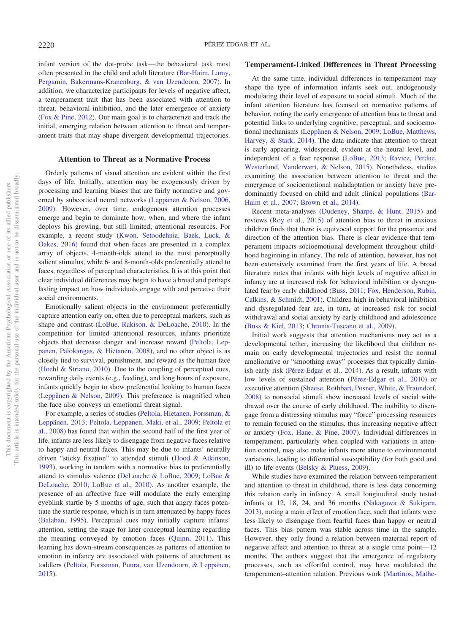infant version of the dot-probe task—the behavioral task most often presented in the child and adult literature [\(Bar-Haim, Lamy,](#page-10-0) [Pergamin, Bakermans-Kranenburg, & van IJzendoorn, 2007\)](#page-10-0). In addition, we characterize participants for levels of negative affect, a temperament trait that has been associated with attention to threat, behavioral inhibition, and the later emergence of anxiety [\(Fox & Pine, 2012\)](#page-11-1). Our main goal is to characterize and track the initial, emerging relation between attention to threat and temperament traits that may shape divergent developmental trajectories.

# **Attention to Threat as a Normative Process**

Orderly patterns of visual attention are evident within the first days of life. Initially, attention may be exogenously driven by processing and learning biases that are fairly normative and governed by subcortical neural networks [\(Leppänen & Nelson, 2006,](#page-12-4) [2009\)](#page-12-5). However, over time, endogenous attention processes emerge and begin to dominate how, when, and where the infant deploys his growing, but still limited, attentional resources. For example, a recent study [\(Kwon, Setoodehnia, Baek, Luck, &](#page-12-6) [Oakes, 2016\)](#page-12-6) found that when faces are presented in a complex array of objects, 4-month-olds attend to the most perceptually salient stimulus, while 6- and 8-month-olds preferentially attend to faces, regardless of perceptual characteristics. It is at this point that clear individual differences may begin to have a broad and perhaps lasting impact on how individuals engage with and perceive their social environments.

Emotionally salient objects in the environment preferentially capture attention early on, often due to perceptual markers, such as shape and contrast [\(LoBue, Rakison, & DeLoache, 2010\)](#page-12-7). In the competition for limited attentional resources, infants prioritize objects that decrease danger and increase reward [\(Peltola, Lep](#page-12-8)[panen, Palokangas, & Hietanen, 2008\)](#page-12-8), and no other object is as closely tied to survival, punishment, and reward as the human face [\(Hoehl & Striano, 2010\)](#page-11-2). Due to the coupling of perceptual cues, rewarding daily events (e.g., feeding), and long hours of exposure, infants quickly begin to show preferential looking to human faces [\(Leppänen & Nelson, 2009\)](#page-12-5). This preference is magnified when the face also conveys an emotional threat signal.

For example, a series of studies [\(Peltola, Hietanen, Forssman, &](#page-12-9) [Leppänen, 2013;](#page-12-9) [Peltola, Leppanen, Maki, et al., 2009;](#page-12-2) [Peltola et](#page-12-8) [al., 2008\)](#page-12-8) has found that within the second half of the first year of life, infants are less likely to disengage from negative faces relative to happy and neutral faces. This may be due to infants' neurally driven "sticky fixation" to attended stimuli [\(Hood & Atkinson,](#page-11-3) [1993\)](#page-11-3), working in tandem with a normative bias to preferentially attend to stimulus valence [\(DeLoache & LoBue, 2009;](#page-11-4) [LoBue &](#page-12-10) [DeLoache, 2010;](#page-12-10) [LoBue et al., 2010\)](#page-12-7). As another example, the presence of an affective face will modulate the early emerging eyeblink startle by 5 months of age, such that angry faces potentiate the startle response, which is in turn attenuated by happy faces [\(Balaban, 1995\)](#page-10-1). Perceptual cues may initially capture infants' attention, setting the stage for later conceptual learning regarding the meaning conveyed by emotion faces [\(Quinn, 2011\)](#page-13-4). This learning has down-stream consequences as patterns of attention to emotion in infancy are associated with patterns of attachment as toddlers [\(Peltola, Forssman, Puura, van IJzendoorn, & Leppänen,](#page-12-11) [2015\)](#page-12-11).

# **Temperament-Linked Differences in Threat Processing**

At the same time, individual differences in temperament may shape the type of information infants seek out, endogenously modulating their level of exposure to social stimuli. Much of the infant attention literature has focused on normative patterns of behavior, noting the early emergence of attention bias to threat and potential links to underlying cognitive, perceptual, and socioemotional mechanisms [\(Leppänen & Nelson, 2009;](#page-12-5) [LoBue, Matthews,](#page-12-12) [Harvey, & Stark, 2014\)](#page-12-12). The data indicate that attention to threat is early appearing, widespread, evident at the neural level, and independent of a fear response [\(LoBue, 2013;](#page-12-13) [Ravicz, Perdue,](#page-13-5) [Westerlund, Vanderwert, & Nelson, 2015\)](#page-13-5). Nonetheless, studies examining the association between attention to threat and the emergence of socioemotional maladaptation or anxiety have predominantly focused on child and adult clinical populations [\(Bar-](#page-10-0)[Haim et al., 2007;](#page-10-0) [Brown et al., 2014\)](#page-11-5).

Recent meta-analyses [\(Dudeney, Sharpe, & Hunt, 2015\)](#page-11-6) and reviews [\(Roy et al., 2015\)](#page-13-3) of attention bias to threat in anxious children finds that there is equivocal support for the presence and direction of the attention bias. There is clear evidence that temperament impacts socioemotional development throughout childhood beginning in infancy. The role of attention, however, has not been extensively examined from the first years of life. A broad literature notes that infants with high levels of negative affect in infancy are at increased risk for behavioral inhibition or dysregulated fear by early childhood [\(Buss, 2011;](#page-11-7) [Fox, Henderson, Rubin,](#page-11-8) [Calkins, & Schmidt, 2001\)](#page-11-8). Children high in behavioral inhibition and dysregulated fear are, in turn, at increased risk for social withdrawal and social anxiety by early childhood and adolescence [\(Buss & Kiel, 2013;](#page-11-9) [Chronis-Tuscano et al., 2009\)](#page-11-10).

Initial work suggests that attention mechanisms may act as a developmental tether, increasing the likelihood that children remain on early developmental trajectories and resist the normal ameliorative or "smoothing away" processes that typically diminish early risk [\(Pérez-Edgar et al., 2014\)](#page-12-1). As a result, infants with low levels of sustained attention [\(Pérez-Edgar et al., 2010\)](#page-12-14) or executive attention [\(Sheese, Rothbart, Posner, White, & Fraundorf,](#page-13-6) [2008\)](#page-13-6) to nonsocial stimuli show increased levels of social withdrawal over the course of early childhood. The inability to disengage from a distressing stimulus may "force" processing resources to remain focused on the stimulus, thus increasing negative affect or anxiety [\(Fox, Hane, & Pine, 2007\)](#page-11-11). Individual differences in temperament, particularly when coupled with variations in attention control, may also make infants more attune to environmental variations, leading to differential susceptibility (for both good and ill) to life events [\(Belsky & Pluess, 2009\)](#page-10-2).

While studies have examined the relation between temperament and attention to threat in childhood, there is less data concerning this relation early in infancy. A small longitudinal study tested infants at 12, 18, 24, and 36 months [\(Nakagawa & Sukigara,](#page-12-15) [2013\)](#page-12-15), noting a main effect of emotion face, such that infants were less likely to disengage from fearful faces than happy or neutral faces. This bias pattern was stable across time in the sample. However, they only found a relation between maternal report of negative affect and attention to threat at a single time point—12 months. The authors suggest that the emergence of regulatory processes, such as effortful control, may have modulated the temperament–attention relation. Previous work [\(Martinos, Mathe-](#page-12-16)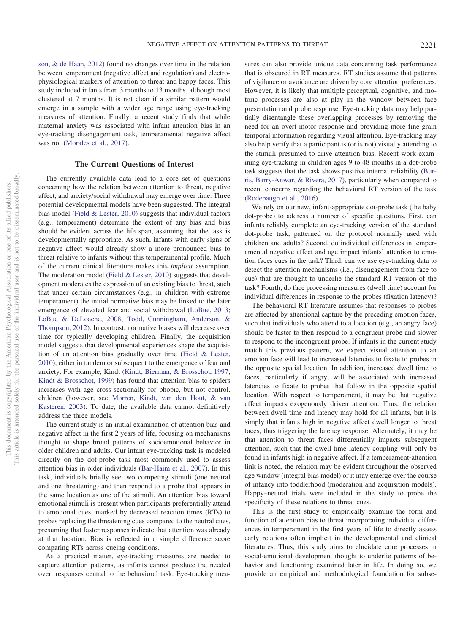[son, & de Haan, 2012\)](#page-12-16) found no changes over time in the relation between temperament (negative affect and regulation) and electrophysiological markers of attention to threat and happy faces. This study included infants from 3 months to 13 months, although most clustered at 7 months. It is not clear if a similar pattern would emerge in a sample with a wider age range using eye-tracking measures of attention. Finally, a recent study finds that while maternal anxiety was associated with infant attention bias in an eye-tracking disengagement task, temperamental negative affect was not [\(Morales et al., 2017\)](#page-12-17).

# **The Current Questions of Interest**

The currently available data lead to a core set of questions concerning how the relation between attention to threat, negative affect, and anxiety/social withdrawal may emerge over time. Three potential developmental models have been suggested. The integral bias model [\(Field & Lester, 2010\)](#page-11-12) suggests that individual factors (e.g., temperament) determine the extent of any bias and bias should be evident across the life span, assuming that the task is developmentally appropriate. As such, infants with early signs of negative affect would already show a more pronounced bias to threat relative to infants without this temperamental profile. Much of the current clinical literature makes this *implicit* assumption. The moderation model [\(Field & Lester, 2010\)](#page-11-12) suggests that development moderates the expression of an existing bias to threat, such that under certain circumstances (e.g., in children with extreme temperament) the initial normative bias may be linked to the later emergence of elevated fear and social withdrawal [\(LoBue, 2013;](#page-12-13) [LoBue & DeLoache, 2008;](#page-12-18) [Todd, Cunningham, Anderson, &](#page-13-7) [Thompson, 2012\)](#page-13-7). In contrast, normative biases will decrease over time for typically developing children. Finally, the acquisition model suggests that developmental experiences shape the acquisition of an attention bias gradually over time [\(Field & Lester,](#page-11-12) [2010\)](#page-11-12), either in tandem or subsequent to the emergence of fear and anxiety. For example, Kindt [\(Kindt, Bierman, & Brosschot, 1997;](#page-11-13) [Kindt & Brosschot, 1999\)](#page-12-19) has found that attention bias to spiders increases with age cross-sectionally for phobic, but not control, children (however, see [Morren, Kindt, van den Hout, & van](#page-12-20) [Kasteren, 2003\)](#page-12-20). To date, the available data cannot definitively address the three models.

The current study is an initial examination of attention bias and negative affect in the first 2 years of life, focusing on mechanisms thought to shape broad patterns of socioemotional behavior in older children and adults. Our infant eye-tracking task is modeled directly on the dot-probe task most commonly used to assess attention bias in older individuals [\(Bar-Haim et al., 2007\)](#page-10-0). In this task, individuals briefly see two competing stimuli (one neutral and one threatening) and then respond to a probe that appears in the same location as one of the stimuli. An attention bias toward emotional stimuli is present when participants preferentially attend to emotional cues, marked by decreased reaction times (RTs) to probes replacing the threatening cues compared to the neutral cues, presuming that faster responses indicate that attention was already at that location. Bias is reflected in a simple difference score comparing RTs across cueing conditions.

As a practical matter, eye-tracking measures are needed to capture attention patterns, as infants cannot produce the needed overt responses central to the behavioral task. Eye-tracking measures can also provide unique data concerning task performance that is obscured in RT measures. RT studies assume that patterns of vigilance or avoidance are driven by core attention preferences. However, it is likely that multiple perceptual, cognitive, and motoric processes are also at play in the window between face presentation and probe response. Eye-tracking data may help partially disentangle these overlapping processes by removing the need for an overt motor response and providing more fine-grain temporal information regarding visual attention. Eye-tracking may also help verify that a participant is (or is not) visually attending to the stimuli presumed to drive attention bias. Recent work examining eye-tracking in children ages 9 to 48 months in a dot-probe task suggests that the task shows positive internal reliability [\(Bur](#page-11-14)[ris, Barry-Anwar, & Rivera, 2017\)](#page-11-14), particularly when compared to recent concerns regarding the behavioral RT version of the task [\(Rodebaugh et al., 2016\)](#page-13-8).

We rely on our new, infant-appropriate dot-probe task (the baby dot-probe) to address a number of specific questions. First, can infants reliably complete an eye-tracking version of the standard dot-probe task, patterned on the protocol normally used with children and adults? Second, do individual differences in temperamental negative affect and age impact infants' attention to emotion faces cues in the task? Third, can we use eye-tracking data to detect the attention mechanisms (i.e., disengagement from face to cue) that are thought to underlie the standard RT version of the task? Fourth, do face processing measures (dwell time) account for individual differences in response to the probes (fixation latency)?

The behavioral RT literature assumes that responses to probes are affected by attentional capture by the preceding emotion faces, such that individuals who attend to a location (e.g., an angry face) should be faster to then respond to a congruent probe and slower to respond to the incongruent probe. If infants in the current study match this previous pattern, we expect visual attention to an emotion face will lead to increased latencies to fixate to probes in the opposite spatial location. In addition, increased dwell time to faces, particularly if angry, will be associated with increased latencies to fixate to probes that follow in the opposite spatial location. With respect to temperament, it may be that negative affect impacts exogenously driven attention. Thus, the relation between dwell time and latency may hold for all infants, but it is simply that infants high in negative affect dwell longer to threat faces, thus triggering the latency response. Alternately, it may be that attention to threat faces differentially impacts subsequent attention, such that the dwell-time latency coupling will only be found in infants high in negative affect. If a temperament-attention link is noted, the relation may be evident throughout the observed age window (integral bias model) or it may emerge over the course of infancy into toddlerhood (moderation and acquisition models). Happy–neutral trials were included in the study to probe the specificity of these relations to threat cues.

This is the first study to empirically examine the form and function of attention bias to threat incorporating individual differences in temperament in the first years of life to directly assess early relations often implicit in the developmental and clinical literatures. Thus, this study aims to elucidate core processes in social-emotional development thought to underlie patterns of behavior and functioning examined later in life. In doing so, we provide an empirical and methodological foundation for subse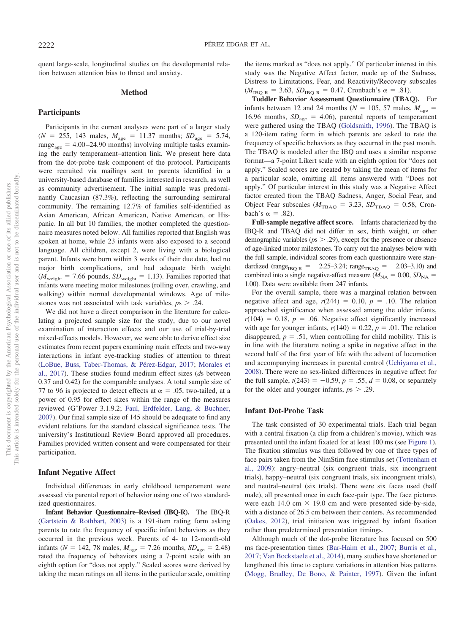quent large-scale, longitudinal studies on the developmental relation between attention bias to threat and anxiety.

# **Method**

#### **Participants**

Participants in the current analyses were part of a larger study  $(N = 255, 143 \text{ males}, M_{\text{age}} = 11.37 \text{ months}; SD_{\text{age}} = 5.74,$  $range<sub>age</sub> = 4.00-24.90$  months) involving multiple tasks examining the early temperament–attention link. We present here data from the dot-probe task component of the protocol. Participants were recruited via mailings sent to parents identified in a university-based database of families interested in research, as well as community advertisement. The initial sample was predominantly Caucasian (87.3%), reflecting the surrounding semirural community. The remaining 12.7% of families self-identified as Asian American, African American, Native American, or Hispanic. In all but 10 families, the mother completed the questionnaire measures noted below. All families reported that English was spoken at home, while 23 infants were also exposed to a second language. All children, except 2, were living with a biological parent. Infants were born within 3 weeks of their due date, had no major birth complications, and had adequate birth weight  $(M_{\text{weight}} = 7.66 \text{ pounds}, SD_{\text{weight}} = 1.13)$ . Families reported that infants were meeting motor milestones (rolling over, crawling, and walking) within normal developmental windows. Age of milestones was not associated with task variables,  $p_s$   $> .24$ .

We did not have a direct comparison in the literature for calculating a projected sample size for the study, due to our novel examination of interaction effects and our use of trial-by-trial mixed-effects models. However, we were able to derive effect size estimates from recent papers examining main effects and two-way interactions in infant eye-tracking studies of attention to threat [\(LoBue, Buss, Taber-Thomas, & Pérez-Edgar, 2017;](#page-12-21) [Morales et](#page-12-17) [al., 2017\)](#page-12-17). These studies found medium effect sizes (*d*s between 0.37 and 0.42) for the comparable analyses. A total sample size of 77 to 96 is projected to detect effects at  $\alpha = .05$ , two-tailed, at a power of 0.95 for effect sizes within the range of the measures reviewed (G\*Power 3.1.9.2; [Faul, Erdfelder, Lang, & Buchner,](#page-11-15) [2007\)](#page-11-15). Our final sample size of 145 should be adequate to find any evident relations for the standard classical significance tests. The university's Institutional Review Board approved all procedures. Families provided written consent and were compensated for their participation.

#### **Infant Negative Affect**

Individual differences in early childhood temperament were assessed via parental report of behavior using one of two standardized questionnaires.

**Infant Behavior Questionnaire–Revised (IBQ-R).** The IBQ-R [\(Gartstein & Rothbart, 2003\)](#page-11-16) is a 191-item rating form asking parents to rate the frequency of specific infant behaviors as they occurred in the previous week. Parents of 4- to 12-month-old infants ( $N = 142, 78$  males,  $M_{\text{age}} = 7.26$  months,  $SD_{\text{age}} = 2.48$ ) rated the frequency of behaviors using a 7-point scale with an eighth option for "does not apply." Scaled scores were derived by taking the mean ratings on all items in the particular scale, omitting the items marked as "does not apply." Of particular interest in this study was the Negative Affect factor, made up of the Sadness, Distress to Limitations, Fear, and Reactivity/Recovery subscales  $(M_{IBQ-R} = 3.63, SD_{IBQ-R} = 0.47,$  Cronbach's  $\alpha = .81$ ).

**Toddler Behavior Assessment Questionnaire (TBAQ).** For infants between 12 and 24 months ( $N = 105$ , 57 males,  $M_{\text{age}} =$ 16.96 months,  $SD<sub>age</sub> = 4.06$ , parental reports of temperament were gathered using the TBAQ [\(Goldsmith, 1996\)](#page-11-17). The TBAQ is a 120-item rating form in which parents are asked to rate the frequency of specific behaviors as they occurred in the past month. The TBAQ is modeled after the IBQ and uses a similar response format—a 7-point Likert scale with an eighth option for "does not apply." Scaled scores are created by taking the mean of items for a particular scale, omitting all items answered with "Does not apply." Of particular interest in this study was a Negative Affect factor created from the TBAQ Sadness, Anger, Social Fear, and Object Fear subscales ( $M_{\text{TBAQ}} = 3.23$ ,  $SD_{\text{TBAQ}} = 0.58$ , Cronbach's  $\alpha = .82$ ).

**Full-sample negative affect score.** Infants characterized by the IBQ-R and TBAQ did not differ in sex, birth weight, or other demographic variables ( $ps > .29$ ), except for the presence or absence of age-linked motor milestones. To carry out the analyses below with the full sample, individual scores from each questionnaire were standardized (range<sub>IBQ-R</sub> =  $-2.25-3.24$ ; range<sub>IBAQ</sub> =  $-2.03-3.10$ ) and combined into a single negative-affect measure ( $M_{\text{NA}} = 0.00$ ,  $SD_{\text{NA}} =$ 1.00). Data were available from 247 infants.

For the overall sample, there was a marginal relation between negative affect and age,  $r(244) = 0.10$ ,  $p = .10$ . The relation approached significance when assessed among the older infants,  $r(104) = 0.18$ ,  $p = .06$ . Negative affect significantly increased with age for younger infants,  $r(140) = 0.22$ ,  $p = .01$ . The relation disappeared,  $p = .51$ , when controlling for child mobility. This is in line with the literature noting a spike in negative affect in the second half of the first year of life with the advent of locomotion and accompanying increases in parental control [\(Uchiyama et al.,](#page-13-9) [2008\)](#page-13-9). There were no sex-linked differences in negative affect for the full sample,  $t(243) = -0.59$ ,  $p = .55$ ,  $d = 0.08$ , or separately for the older and younger infants,  $p_s > .29$ .

#### **Infant Dot-Probe Task**

The task consisted of 30 experimental trials. Each trial began with a central fixation (a clip from a children's movie), which was presented until the infant fixated for at least 100 ms (see [Figure 1\)](#page-4-0). The fixation stimulus was then followed by one of three types of face pairs taken from the NimStim face stimulus set [\(Tottenham et](#page-13-10) [al., 2009\)](#page-13-10): angry–neutral (six congruent trials, six incongruent trials), happy–neutral (six congruent trials, six incongruent trials), and neutral–neutral (six trials). There were six faces used (half male), all presented once in each face-pair type. The face pictures were each 14.0 cm  $\times$  19.0 cm and were presented side-by-side, with a distance of 26.5 cm between their centers. As recommended [\(Oakes, 2012\)](#page-12-22), trial initiation was triggered by infant fixation rather than predetermined presentation timings.

Although much of the dot-probe literature has focused on 500 ms face-presentation times [\(Bar-Haim et al., 2007;](#page-10-0) [Burris et al.,](#page-11-14) [2017;](#page-11-14) [Van Bockstaele et al., 2014\)](#page-13-11), many studies have shortened or lengthened this time to capture variations in attention bias patterns [\(Mogg, Bradley, De Bono, & Painter, 1997\)](#page-12-23). Given the infant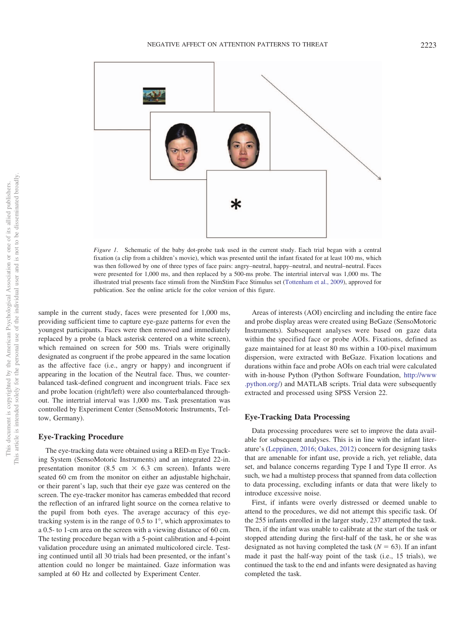

<span id="page-4-0"></span>*Figure 1.* Schematic of the baby dot-probe task used in the current study. Each trial began with a central fixation (a clip from a children's movie), which was presented until the infant fixated for at least 100 ms, which was then followed by one of three types of face pairs: angry–neutral, happy–neutral, and neutral–neutral. Faces were presented for 1,000 ms, and then replaced by a 500-ms probe. The intertrial interval was 1,000 ms. The illustrated trial presents face stimuli from the NimStim Face Stimulus set [\(Tottenham et al., 2009\)](#page-13-10), approved for publication. See the online article for the color version of this figure.

sample in the current study, faces were presented for 1,000 ms, providing sufficient time to capture eye-gaze patterns for even the youngest participants. Faces were then removed and immediately replaced by a probe (a black asterisk centered on a white screen), which remained on screen for 500 ms. Trials were originally designated as congruent if the probe appeared in the same location as the affective face (i.e., angry or happy) and incongruent if appearing in the location of the Neutral face. Thus, we counterbalanced task-defined congruent and incongruent trials. Face sex and probe location (right/left) were also counterbalanced throughout. The intertrial interval was 1,000 ms. Task presentation was controlled by Experiment Center (SensoMotoric Instruments, Teltow, Germany).

# **Eye-Tracking Procedure**

The eye-tracking data were obtained using a RED-m Eye Tracking System (SensoMotoric Instruments) and an integrated 22-in. presentation monitor (8.5 cm  $\times$  6.3 cm screen). Infants were seated 60 cm from the monitor on either an adjustable highchair, or their parent's lap, such that their eye gaze was centered on the screen. The eye-tracker monitor has cameras embedded that record the reflection of an infrared light source on the cornea relative to the pupil from both eyes. The average accuracy of this eyetracking system is in the range of 0.5 to 1°, which approximates to a 0.5- to 1-cm area on the screen with a viewing distance of 60 cm. The testing procedure began with a 5-point calibration and 4-point validation procedure using an animated multicolored circle. Testing continued until all 30 trials had been presented, or the infant's attention could no longer be maintained. Gaze information was sampled at 60 Hz and collected by Experiment Center.

Areas of interests (AOI) encircling and including the entire face and probe display areas were created using BeGaze (SensoMotoric Instruments). Subsequent analyses were based on gaze data within the specified face or probe AOIs. Fixations, defined as gaze maintained for at least 80 ms within a 100-pixel maximum dispersion, were extracted with BeGaze. Fixation locations and durations within face and probe AOIs on each trial were calculated with in-house Python (Python Software Foundation, [http://www](http://www.python.org/) [.python.org/\)](http://www.python.org/) and MATLAB scripts. Trial data were subsequently extracted and processed using SPSS Version 22.

# **Eye-Tracking Data Processing**

Data processing procedures were set to improve the data available for subsequent analyses. This is in line with the infant literature's [\(Leppänen, 2016;](#page-12-24) [Oakes, 2012\)](#page-12-22) concern for designing tasks that are amenable for infant use, provide a rich, yet reliable, data set, and balance concerns regarding Type I and Type II error. As such, we had a multistep process that spanned from data collection to data processing, excluding infants or data that were likely to introduce excessive noise.

First, if infants were overly distressed or deemed unable to attend to the procedures, we did not attempt this specific task. Of the 255 infants enrolled in the larger study, 237 attempted the task. Then, if the infant was unable to calibrate at the start of the task or stopped attending during the first-half of the task, he or she was designated as not having completed the task  $(N = 63)$ . If an infant made it past the half-way point of the task (i.e., 15 trials), we continued the task to the end and infants were designated as having completed the task.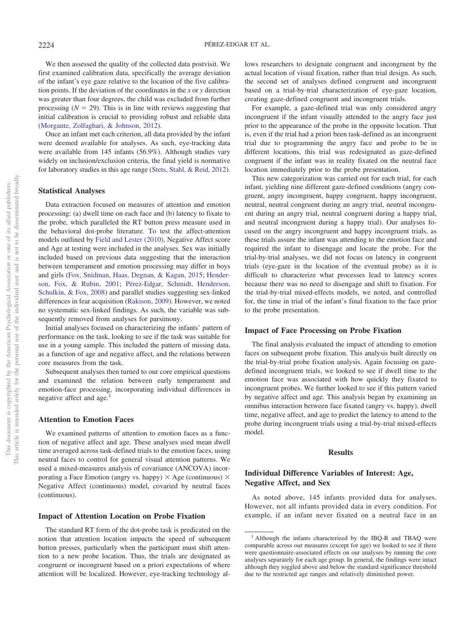We then assessed the quality of the collected data postvisit. We first examined calibration data, specifically the average deviation of the infant's eye gaze relative to the location of the five calibration points. If the deviation of the coordinates in the *x* or *y* direction was greater than four degrees, the child was excluded from further processing  $(N = 29)$ . This is in line with reviews suggesting that initial calibration is crucial to providing robust and reliable data [\(Morgante, Zolfaghari, & Johnson, 2012\)](#page-12-25).

Once an infant met each criterion, all data provided by the infant were deemed available for analyses. As such, eye-tracking data were available from 145 infants (56.9%). Although studies vary widely on inclusion/exclusion criteria, the final yield is normative for laboratory studies in this age range [\(Stets, Stahl, & Reid, 2012\)](#page-13-12).

#### **Statistical Analyses**

Data extraction focused on measures of attention and emotion processing: (a) dwell time on each face and (b) latency to fixate to the probe, which paralleled the RT button press measure used in the behavioral dot-probe literature. To test the affect-attention models outlined by [Field and Lester \(2010\),](#page-11-12) Negative Affect score and Age at testing were included in the analyses. Sex was initially included based on previous data suggesting that the interaction between temperament and emotion processing may differ in boys and girls [\(Fox, Snidman, Haas, Degnan, & Kagan, 2015;](#page-11-18) [Hender](#page-11-19)[son, Fox, & Rubin, 2001;](#page-11-19) [Pérez-Edgar, Schmidt, Henderson,](#page-12-26) [Schulkin, & Fox, 2008\)](#page-12-26) and parallel studies suggesting sex-linked differences in fear acquisition [\(Rakison, 2009\)](#page-13-13). However, we noted no systematic sex-linked findings. As such, the variable was subsequently removed from analyses for parsimony.

Initial analyses focused on characterizing the infants' pattern of performance on the task, looking to see if the task was suitable for use in a young sample. This included the pattern of missing data, as a function of age and negative affect, and the relations between core measures from the task.

Subsequent analyses then turned to our core empirical questions and examined the relation between early temperament and emotion-face processing, incorporating individual differences in negative affect and age.<sup>1</sup>

#### **Attention to Emotion Faces**

We examined patterns of attention to emotion faces as a function of negative affect and age. These analyses used mean dwell time averaged across task-defined trials to the emotion faces, using neutral faces to control for general visual attention patterns. We used a mixed-measures analysis of covariance (ANCOVA) incorporating a Face Emotion (angry vs. happy)  $\times$  Age (continuous)  $\times$ Negative Affect (continuous) model, covaried by neutral faces (continuous).

# **Impact of Attention Location on Probe Fixation**

The standard RT form of the dot-probe task is predicated on the notion that attention location impacts the speed of subsequent button presses, particularly when the participant must shift attention to a new probe location. Thus, the trials are designated as congruent or incongruent based on a priori expectations of where attention will be localized. However, eye-tracking technology allows researchers to designate congruent and incongruent by the actual location of visual fixation, rather than trial design. As such, the second set of analyses defined congruent and incongruent based on a trial-by-trial characterization of eye-gaze location, creating gaze-defined congruent and incongruent trials.

For example, a gaze-defined trial was only considered angry incongruent if the infant visually attended to the angry face just prior to the appearance of the probe in the opposite location. That is, even if the trial had a priori been task-defined as an incongruent trial due to programming the angry face and probe to be in different locations, this trial was redesignated as gaze-defined congruent if the infant was in reality fixated on the neutral face location immediately prior to the probe presentation.

This new categorization was carried out for each trial, for each infant, yielding nine different gaze-defined conditions (angry congruent, angry incongruent, happy congruent, happy incongruent, neutral, neutral congruent during an angry trial, neutral incongruent during an angry trial, neutral congruent during a happy trial, and neutral incongruent during a happy trial). Our analyses focused on the angry incongruent and happy incongruent trials, as these trials assure the infant was attending to the emotion face and required the infant to disengage and locate the probe. For the trial-by-trial analyses, we did not focus on latency in congruent trials (eye-gaze in the location of the eventual probe) as it is difficult to characterize what processes lead to latency scores because there was no need to disengage and shift to fixation. For the trial-by-trial mixed-effects models, we noted, and controlled for, the time in trial of the infant's final fixation to the face prior to the probe presentation.

#### **Impact of Face Processing on Probe Fixation**

The final analysis evaluated the impact of attending to emotion faces on subsequent probe fixation. This analysis built directly on the trial-by-trial probe fixation analysis. Again focusing on gazedefined incongruent trials, we looked to see if dwell time to the emotion face was associated with how quickly they fixated to incongruent probes. We further looked to see if this pattern varied by negative affect and age. This analysis began by examining an omnibus interaction between face fixated (angry vs. happy), dwell time, negative affect, and age to predict the latency to attend to the probe during incongruent trials using a trial-by-trial mixed-effects model.

#### **Results**

# **Individual Difference Variables of Interest: Age, Negative Affect, and Sex**

As noted above, 145 infants provided data for analyses. However, not all infants provided data in every condition. For example, if an infant never fixated on a neutral face in an

<sup>&</sup>lt;sup>1</sup> Although the infants characterized by the IBQ-R and TBAQ were comparable across our measures (except for age) we looked to see if there were questionnaire-associated effects on our analyses by running the core analyses separately for each age group. In general, the findings were intact although they toggled above and below the standard significance threshold due to the restricted age ranges and relatively diminished power.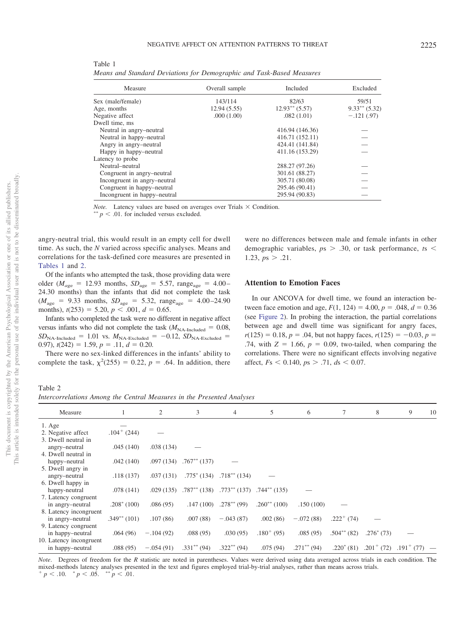| Measure                      | Overall sample | Included         | Excluded           |
|------------------------------|----------------|------------------|--------------------|
| Sex (male/female)            | 143/114        | 82/63            | 59/51              |
| Age, months                  | 12.94(5.55)    | $12.93**$ (5.57) | $9.33***$ $(5.32)$ |
| Negative affect              | .000(1.00)     | .082(1.01)       | $-.121(.97)$       |
| Dwell time, ms               |                |                  |                    |
| Neutral in angry-neutral     |                | 416.94 (146.36)  |                    |
| Neutral in happy-neutral     |                | 416.71 (152.11)  |                    |
| Angry in angry-neutral       |                | 424.41 (141.84)  |                    |
| Happy in happy-neutral       |                | 411.16 (153.29)  |                    |
| Latency to probe             |                |                  |                    |
| Neutral-neutral              |                | 288.27 (97.26)   |                    |
| Congruent in angry-neutral   |                | 301.61 (88.27)   |                    |
| Incongruent in angry-neutral |                | 305.71 (80.08)   |                    |
| Congruent in happy-neutral   |                | 295.46 (90.41)   |                    |
| Incongruent in happy-neutral |                | 295.94 (90.83)   |                    |
|                              |                |                  |                    |

<span id="page-6-0"></span>Table 1 *Means and Standard Deviations for Demographic and Task-Based Measures*

*Note.* Latency values are based on averages over Trials  $\times$  Condition.

 $p < .01$ . for included versus excluded.

angry-neutral trial, this would result in an empty cell for dwell time. As such, the *N* varied across specific analyses. Means and correlations for the task-defined core measures are presented in [Tables 1](#page-6-0) and [2.](#page-6-1)

Of the infants who attempted the task, those providing data were older ( $M_{\text{age}} = 12.93$  months,  $SD_{\text{age}} = 5.57$ , range<sub>age</sub> = 4.00– 24.30 months) than the infants that did not complete the task  $(M_{\text{age}} = 9.33 \text{ months}, SD_{\text{age}} = 5.32, \text{ range}_{\text{age}} = 4.00 - 24.90$ months),  $t(253) = 5.20, p < .001, d = 0.65$ .

Infants who completed the task were no different in negative affect versus infants who did not complete the task  $(M_{NA\text{-}Included} = 0.08,$  $SD<sub>NA-Included</sub> = 1.01$  vs.  $M<sub>NA-Excluded</sub> = -0.12$ ,  $SD<sub>NA-Excluded</sub> =$ 0.97),  $t(242) = 1.59$ ,  $p = .11$ ,  $d = 0.20$ .

There were no sex-linked differences in the infants' ability to complete the task,  $\chi^2(255) = 0.22$ ,  $p = .64$ . In addition, there were no differences between male and female infants in other demographic variables,  $p_s > .30$ , or task performance,  $ts <$ 1.23,  $ps > .21$ .

# **Attention to Emotion Faces**

In our ANCOVA for dwell time, we found an interaction between face emotion and age,  $F(1, 124) = 4.00, p = .048, d = 0.36$ (see [Figure 2\)](#page-7-0). In probing the interaction, the partial correlations between age and dwell time was significant for angry faces,  $r(125) = 0.18$ ,  $p = 0.04$ , but not happy faces,  $r(125) = -0.03$ ,  $p =$ .74, with  $Z = 1.66$ ,  $p = 0.09$ , two-tailed, when comparing the correlations. There were no significant effects involving negative affect,  $Fs < 0.140$ ,  $ps > .71$ ,  $ds < 0.07$ .

<span id="page-6-1"></span>Table 2 *Intercorrelations Among the Central Measures in the Presented Analyses*

| Measure                 |                  | 2           | 3                 | 4                 | 5                 | 6              |                 | 8                           | 9               | 10 |
|-------------------------|------------------|-------------|-------------------|-------------------|-------------------|----------------|-----------------|-----------------------------|-----------------|----|
| $1. \text{Age}$         |                  |             |                   |                   |                   |                |                 |                             |                 |    |
| 2. Negative affect      | $.104^{+}$ (244) |             |                   |                   |                   |                |                 |                             |                 |    |
| 3. Dwell neutral in     |                  |             |                   |                   |                   |                |                 |                             |                 |    |
| angry-neutral           | .045(140)        | .038(134)   |                   |                   |                   |                |                 |                             |                 |    |
| 4. Dwell neutral in     |                  |             |                   |                   |                   |                |                 |                             |                 |    |
| happy-neutral           | .042(140)        | .097(134)   | $.767^{**}$ (137) |                   |                   |                |                 |                             |                 |    |
| 5. Dwell angry in       |                  |             |                   |                   |                   |                |                 |                             |                 |    |
| angry-neutral           | .118(137)        | .037(131)   | $.775^*$ (134)    | $.718^{**}$ (134) |                   |                |                 |                             |                 |    |
| 6. Dwell happy in       |                  |             |                   |                   |                   |                |                 |                             |                 |    |
| happy-neutral           | .078(141)        | .029(135)   | $.787^{**}$ (138) | $.773**$ (137)    | $.744**$ (135)    |                |                 |                             |                 |    |
| 7. Latency congruent    |                  |             |                   |                   |                   |                |                 |                             |                 |    |
| in angry-neutral        | $.208^*$ (100)   | .086(95)    | .147(100)         | $.278^{**}$ (99)  | $.260^{**}$ (100) | .150(100)      |                 |                             |                 |    |
| 8. Latency incongruent  |                  |             |                   |                   |                   |                |                 |                             |                 |    |
| in angry-neutral        | $.349**$ (101)   | .107(86)    | .007(88)          | $-.043(87)$       | .002(86)          | $-.072(88)$    | $.222^{+}$ (74) |                             |                 |    |
| 9. Latency congruent    |                  |             |                   |                   |                   |                |                 |                             |                 |    |
| in happy-neutral        | .064(96)         | $-.104(92)$ | .088(95)          | .030(95)          | $.180^{+}$ (95)   | .085(95)       | $.504**$ (82)   | $.276^{\ast}$ (73)          |                 |    |
| 10. Latency incongruent |                  |             |                   |                   |                   |                |                 |                             |                 |    |
| in happy-neutral        | .088(95)         | $-.054(91)$ | $.331***$ (94)    | $.322**$ (94)     | .075(94)          | $.271***$ (94) |                 | $.220^* (81)$ $.201^+ (72)$ | $.191^{+}$ (77) |    |

*Note*. Degrees of freedom for the *R* statistic are noted in parentheses. Values were derived using data averaged across trials in each condition. The mixed-methods latency analyses presented in the text and figures employed trial-by-trial analyses, rather than means across trials.  $p < .10.$   $p < .05.$   $\sqrt[3]{p} < .01.$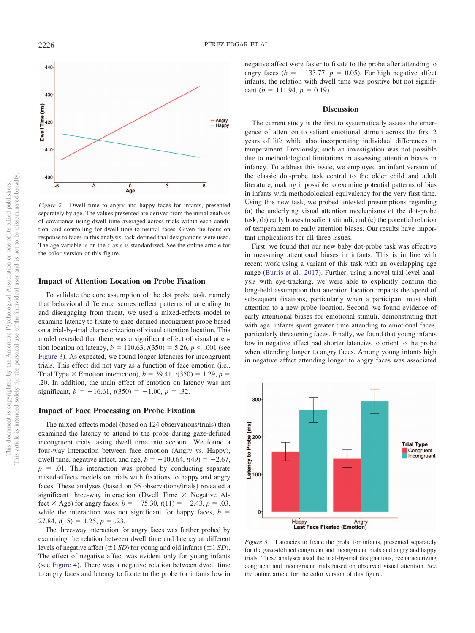

<span id="page-7-0"></span>*Figure 2.* Dwell time to angry and happy faces for infants, presented separately by age. The values presented are derived from the initial analysis of covariance using dwell time averaged across trials within each condition, and controlling for dwell time to neutral faces. Given the focus on response to faces in this analysis, task-defined trial designations were used. The age variable is on the *x*-axis is standardized. See the online article for the color version of this figure.

# **Impact of Attention Location on Probe Fixation**

To validate the core assumption of the dot probe task, namely that behavioral difference scores reflect patterns of attending to and disengaging from threat, we used a mixed-effects model to examine latency to fixate to gaze-defined incongruent probe based on a trial-by-trial characterization of visual attention location. This model revealed that there was a significant effect of visual attention location on latency,  $b = 110.63$ ,  $t(350) = 5.26$ ,  $p < .001$  (see [Figure 3\)](#page-7-1). As expected, we found longer latencies for incongruent trials. This effect did not vary as a function of face emotion (i.e., Trial Type  $\times$  Emotion interaction),  $b = 39.41$ ,  $t(350) = 1.29$ ,  $p =$ .20. In addition, the main effect of emotion on latency was not significant,  $b = -16.61$ ,  $t(350) = -1.00$ ,  $p = .32$ .

# **Impact of Face Processing on Probe Fixation**

The mixed-effects model (based on 124 observations/trials) then examined the latency to attend to the probe during gaze-defined incongruent trials taking dwell time into account. We found a four-way interaction between face emotion (Angry vs. Happy), dwell time, negative affect, and age,  $b = -100.64$ ,  $t(49) = -2.67$ ,  $p = .01$ . This interaction was probed by conducting separate mixed-effects models on trials with fixations to happy and angry faces. These analyses (based on 56 observations/trials) revealed a significant three-way interaction (Dwell Time  $\times$  Negative Affect  $\times$  Age) for angry faces,  $b = -75.30$ ,  $t(11) = -2.43$ ,  $p = .03$ , while the interaction was not significant for happy faces,  $b =$  $27.84, t(15) = 1.25, p = .23.$ 

The three-way interaction for angry faces was further probed by examining the relation between dwell time and latency at different levels of negative affect  $(\pm 1 SD)$  for young and old infants  $(\pm 1 SD)$ . The effect of negative affect was evident only for young infants (see [Figure 4\)](#page-8-0). There was a negative relation between dwell time to angry faces and latency to fixate to the probe for infants low in negative affect were faster to fixate to the probe after attending to angry faces ( $b = -133.77$ ,  $p = 0.05$ ). For high negative affect infants, the relation with dwell time was positive but not significant ( $b = 111.94$ ,  $p = 0.19$ ).

# **Discussion**

The current study is the first to systematically assess the emergence of attention to salient emotional stimuli across the first 2 years of life while also incorporating individual differences in temperament. Previously, such an investigation was not possible due to methodological limitations in assessing attention biases in infancy. To address this issue, we employed an infant version of the classic dot-probe task central to the older child and adult literature, making it possible to examine potential patterns of bias in infants with methodological equivalency for the very first time. Using this new task, we probed untested presumptions regarding (a) the underlying visual attention mechanisms of the dot-probe task, (b) early biases to salient stimuli, and (c) the potential relation of temperament to early attention biases. Our results have important implications for all three issues.

First, we found that our new baby dot-probe task was effective in measuring attentional biases in infants. This is in line with recent work using a variant of this task with an overlapping age range [\(Burris et al., 2017\)](#page-11-14). Further, using a novel trial-level analysis with eye-tracking, we were able to explicitly confirm the long-held assumption that attention location impacts the speed of subsequent fixations, particularly when a participant must shift attention to a new probe location. Second, we found evidence of early attentional biases for emotional stimuli, demonstrating that with age, infants spent greater time attending to emotional faces, particularly threatening faces. Finally, we found that young infants low in negative affect had shorter latencies to orient to the probe when attending longer to angry faces. Among young infants high in negative affect attending longer to angry faces was associated



<span id="page-7-1"></span>*Figure 3.* Latencies to fixate the probe for infants, presented separately for the gaze-defined congruent and incongruent trials and angry and happy trials. These analyses used the trial-by-trial designations, recharacterizing congruent and incongruent trials based on observed visual attention. See the online article for the color version of this figure.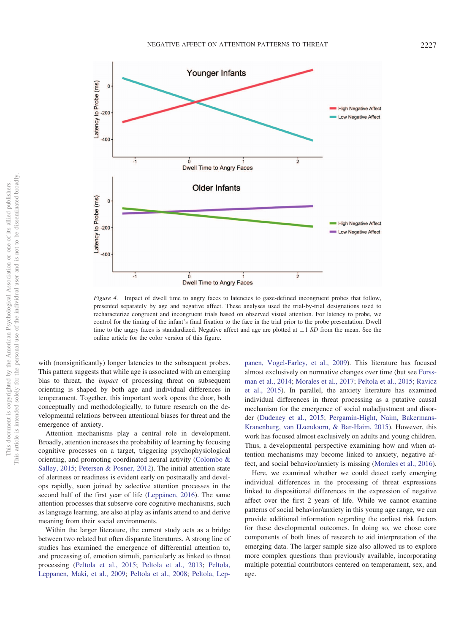

<span id="page-8-0"></span>*Figure 4.* Impact of dwell time to angry faces to latencies to gaze-defined incongruent probes that follow, presented separately by age and negative affect. These analyses used the trial-by-trial designations used to recharacterize congruent and incongruent trials based on observed visual attention. For latency to probe, we control for the timing of the infant's final fixation to the face in the trial prior to the probe presentation. Dwell time to the angry faces is standardized. Negative affect and age are plotted at 1 *SD* from the mean. See the online article for the color version of this figure.

with (nonsignificantly) longer latencies to the subsequent probes. This pattern suggests that while age is associated with an emerging bias to threat, the *impact* of processing threat on subsequent orienting is shaped by both age and individual differences in temperament. Together, this important work opens the door, both conceptually and methodologically, to future research on the developmental relations between attentional biases for threat and the emergence of anxiety.

Attention mechanisms play a central role in development. Broadly, attention increases the probability of learning by focusing cognitive processes on a target, triggering psychophysiological orienting, and promoting coordinated neural activity [\(Colombo &](#page-11-20) [Salley, 2015;](#page-11-20) [Petersen & Posner, 2012\)](#page-13-14). The initial attention state of alertness or readiness is evident early on postnatally and develops rapidly, soon joined by selective attention processes in the second half of the first year of life [\(Leppänen, 2016\)](#page-12-24). The same attention processes that subserve core cognitive mechanisms, such as language learning, are also at play as infants attend to and derive meaning from their social environments.

Within the larger literature, the current study acts as a bridge between two related but often disparate literatures. A strong line of studies has examined the emergence of differential attention to, and processing of, emotion stimuli, particularly as linked to threat processing [\(Peltola et al., 2015;](#page-12-11) [Peltola et al., 2013;](#page-12-9) [Peltola,](#page-12-2) [Leppanen, Maki, et al., 2009;](#page-12-2) [Peltola et al., 2008;](#page-12-8) [Peltola, Lep-](#page-12-3) [panen, Vogel-Farley, et al., 2009\)](#page-12-3). This literature has focused almost exclusively on normative changes over time (but see [Forss](#page-11-21)[man et al., 2014;](#page-11-21) [Morales et al., 2017;](#page-12-17) [Peltola et al., 2015;](#page-12-11) [Ravicz](#page-13-5) [et al., 2015\)](#page-13-5). In parallel, the anxiety literature has examined individual differences in threat processing as a putative causal mechanism for the emergence of social maladjustment and disorder [\(Dudeney et al., 2015;](#page-11-6) [Pergamin-Hight, Naim, Bakermans-](#page-12-27)[Kranenburg, van IJzendoorn, & Bar-Haim, 2015\)](#page-12-27). However, this work has focused almost exclusively on adults and young children. Thus, a developmental perspective examining how and when attention mechanisms may become linked to anxiety, negative affect, and social behavior/anxiety is missing [\(Morales et al., 2016\)](#page-12-0).

Here, we examined whether we could detect early emerging individual differences in the processing of threat expressions linked to dispositional differences in the expression of negative affect over the first 2 years of life. While we cannot examine patterns of social behavior/anxiety in this young age range, we can provide additional information regarding the earliest risk factors for these developmental outcomes. In doing so, we chose core components of both lines of research to aid interpretation of the emerging data. The larger sample size also allowed us to explore more complex questions than previously available, incorporating multiple potential contributors centered on temperament, sex, and age.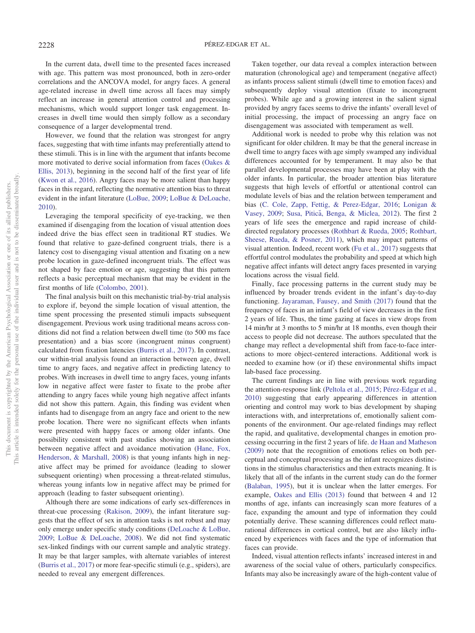In the current data, dwell time to the presented faces increased with age. This pattern was most pronounced, both in zero-order correlations and the ANCOVA model, for angry faces. A general age-related increase in dwell time across all faces may simply reflect an increase in general attention control and processing mechanisms, which would support longer task engagement. Increases in dwell time would then simply follow as a secondary consequence of a larger developmental trend.

However, we found that the relation was strongest for angry faces, suggesting that with time infants may preferentially attend to these stimuli. This is in line with the argument that infants become more motivated to derive social information from faces [\(Oakes &](#page-12-28) [Ellis, 2013\)](#page-12-28), beginning in the second half of the first year of life [\(Kwon et al., 2016\)](#page-12-6). Angry faces may be more salient than happy faces in this regard, reflecting the normative attention bias to threat evident in the infant literature [\(LoBue, 2009;](#page-12-29) [LoBue & DeLoache,](#page-12-10) [2010\)](#page-12-10).

Leveraging the temporal specificity of eye-tracking, we then examined if disengaging from the location of visual attention does indeed drive the bias effect seen in traditional RT studies. We found that relative to gaze-defined congruent trials, there is a latency cost to disengaging visual attention and fixating on a new probe location in gaze-defined incongruent trials. The effect was not shaped by face emotion or age, suggesting that this pattern reflects a basic perceptual mechanism that may be evident in the first months of life [\(Colombo, 2001\)](#page-11-22).

The final analysis built on this mechanistic trial-by-trial analysis to explore if, beyond the simple location of visual attention, the time spent processing the presented stimuli impacts subsequent disengagement. Previous work using traditional means across conditions did not find a relation between dwell time (to 500 ms face presentation) and a bias score (incongruent minus congruent) calculated from fixation latencies [\(Burris et al., 2017\)](#page-11-14). In contrast, our within-trial analysis found an interaction between age, dwell time to angry faces, and negative affect in predicting latency to probes. With increases in dwell time to angry faces, young infants low in negative affect were faster to fixate to the probe after attending to angry faces while young high negative affect infants did not show this pattern. Again, this finding was evident when infants had to disengage from an angry face and orient to the new probe location. There were no significant effects when infants were presented with happy faces or among older infants. One possibility consistent with past studies showing an association between negative affect and avoidance motivation [\(Hane, Fox,](#page-11-23) [Henderson, & Marshall, 2008\)](#page-11-23) is that young infants high in negative affect may be primed for avoidance (leading to slower subsequent orienting) when processing a threat-related stimulus, whereas young infants low in negative affect may be primed for approach (leading to faster subsequent orienting).

Although there are some indications of early sex-differences in threat-cue processing [\(Rakison, 2009\)](#page-13-13), the infant literature suggests that the effect of sex in attention tasks is not robust and may only emerge under specific study conditions [\(DeLoache & LoBue,](#page-11-4) [2009;](#page-11-4) [LoBue & DeLoache, 2008\)](#page-12-18). We did not find systematic sex-linked findings with our current sample and analytic strategy. It may be that larger samples, with alternate variables of interest [\(Burris et al., 2017\)](#page-11-14) or more fear-specific stimuli (e.g., spiders), are needed to reveal any emergent differences.

Taken together, our data reveal a complex interaction between maturation (chronological age) and temperament (negative affect) as infants process salient stimuli (dwell time to emotion faces) and subsequently deploy visual attention (fixate to incongruent probes). While age and a growing interest in the salient signal provided by angry faces seems to drive the infants' overall level of initial processing, the impact of processing an angry face on disengagement was associated with temperament as well.

Additional work is needed to probe why this relation was not significant for older children. It may be that the general increase in dwell time to angry faces with age simply swamped any individual differences accounted for by temperament. It may also be that parallel developmental processes may have been at play with the older infants. In particular, the broader attention bias literature suggests that high levels of effortful or attentional control can modulate levels of bias and the relation between temperament and bias [\(C. Cole, Zapp, Fettig, & Perez-Edgar, 2016;](#page-11-24) [Lonigan &](#page-12-30) [Vasey, 2009;](#page-12-30) Susa, Pitică, Benga, & Miclea, 2012). The first 2 years of life sees the emergence and rapid increase of childdirected regulatory processes [\(Rothbart & Rueda, 2005;](#page-13-16) [Rothbart,](#page-13-17) [Sheese, Rueda, & Posner, 2011\)](#page-13-17), which may impact patterns of visual attention. Indeed, recent work [\(Fu et al., 2017\)](#page-11-25) suggests that effortful control modulates the probability and speed at which high negative affect infants will detect angry faces presented in varying locations across the visual field.

Finally, face processing patterns in the current study may be influenced by broader trends evident in the infant's day-to-day functioning. [Jayaraman, Fausey, and Smith \(2017\)](#page-11-26) found that the frequency of faces in an infant's field of view decreases in the first 2 years of life. Thus, the time gazing at faces in view drops from 14 min/hr at 3 months to 5 min/hr at 18 months, even though their access to people did not decrease. The authors speculated that the change may reflect a developmental shift from face-to-face interactions to more object-centered interactions. Additional work is needed to examine how (or if) these environmental shifts impact lab-based face processing.

The current findings are in line with previous work regarding the attention-response link [\(Peltola et al., 2015;](#page-12-11) [Pérez-Edgar et al.,](#page-12-14) [2010\)](#page-12-14) suggesting that early appearing differences in attention orienting and control may work to bias development by shaping interactions with, and interpretations of, emotionally salient components of the environment. Our age-related findings may reflect the rapid, and qualitative, developmental changes in emotion processing occurring in the first 2 years of life. [de Haan and Matheson](#page-11-27) [\(2009\)](#page-11-27) note that the recognition of emotions relies on both perceptual and conceptual processing as the infant recognizes distinctions in the stimulus characteristics and then extracts meaning. It is likely that all of the infants in the current study can do the former [\(Balaban, 1995\)](#page-10-1), but it is unclear when the latter emerges. For example, [Oakes and Ellis \(2013\)](#page-12-28) found that between 4 and 12 months of age, infants can increasingly scan more features of a face, expanding the amount and type of information they could potentially derive. These scanning differences could reflect maturational differences in cortical control, but are also likely influenced by experiences with faces and the type of information that faces can provide.

Indeed, visual attention reflects infants' increased interest in and awareness of the social value of others, particularly conspecifics. Infants may also be increasingly aware of the high-content value of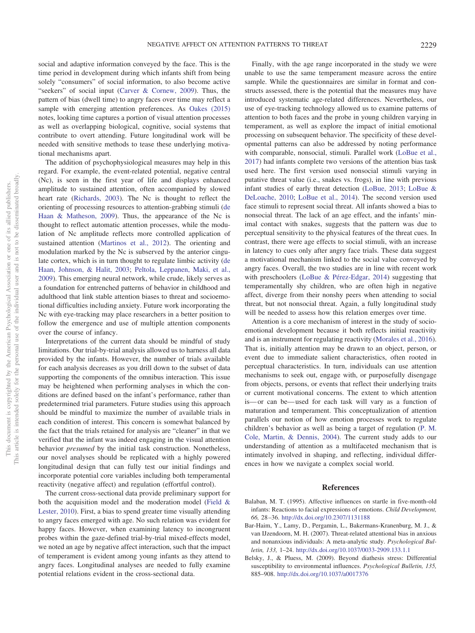social and adaptive information conveyed by the face. This is the time period in development during which infants shift from being solely "consumers" of social information, to also become active "seekers" of social input [\(Carver & Cornew, 2009\)](#page-11-28). Thus, the pattern of bias (dwell time) to angry faces over time may reflect a sample with emerging attention preferences. As [Oakes \(2015\)](#page-12-31) notes, looking time captures a portion of visual attention processes as well as overlapping biological, cognitive, social systems that contribute to overt attending. Future longitudinal work will be needed with sensitive methods to tease these underlying motivational mechanisms apart.

The addition of psychophysiological measures may help in this regard. For example, the event-related potential, negative central (Nc), is seen in the first year of life and displays enhanced amplitude to sustained attention, often accompanied by slowed heart rate [\(Richards, 2003\)](#page-13-18). The Nc is thought to reflect the orienting of processing resources to attention-grabbing stimuli [\(de](#page-11-27) [Haan & Matheson, 2009\)](#page-11-27). Thus, the appearance of the Nc is thought to reflect automatic attention processes, while the modulation of Nc amplitude reflects more controlled application of sustained attention [\(Martinos et al., 2012\)](#page-12-16). The orienting and modulation marked by the Nc is subserved by the anterior cingulate cortex, which is in turn thought to regulate limbic activity [\(de](#page-11-29) [Haan, Johnson, & Halit, 2003;](#page-11-29) [Peltola, Leppanen, Maki, et al.,](#page-12-2) [2009\)](#page-12-2). This emerging neural network, while crude, likely serves as a foundation for entrenched patterns of behavior in childhood and adulthood that link stable attention biases to threat and socioemotional difficulties including anxiety. Future work incorporating the Nc with eye-tracking may place researchers in a better position to follow the emergence and use of multiple attention components over the course of infancy.

Interpretations of the current data should be mindful of study limitations. Our trial-by-trial analysis allowed us to harness all data provided by the infants. However, the number of trials available for each analysis decreases as you drill down to the subset of data supporting the components of the omnibus interaction. This issue may be heightened when performing analyses in which the conditions are defined based on the infant's performance, rather than predetermined trial parameters. Future studies using this approach should be mindful to maximize the number of available trials in each condition of interest. This concern is somewhat balanced by the fact that the trials retained for analysis are "cleaner" in that we verified that the infant was indeed engaging in the visual attention behavior *presumed* by the initial task construction. Nonetheless, our novel analyses should be replicated with a highly powered longitudinal design that can fully test our initial findings and incorporate potential core variables including both temperamental reactivity (negative affect) and regulation (effortful control).

The current cross-sectional data provide preliminary support for both the acquisition model and the moderation model [\(Field &](#page-11-12) [Lester, 2010\)](#page-11-12). First, a bias to spend greater time visually attending to angry faces emerged with age. No such relation was evident for happy faces. However, when examining latency to incongruent probes within the gaze-defined trial-by-trial mixed-effects model, we noted an age by negative affect interaction, such that the impact of temperament is evident among young infants as they attend to angry faces. Longitudinal analyses are needed to fully examine potential relations evident in the cross-sectional data.

Finally, with the age range incorporated in the study we were unable to use the same temperament measure across the entire sample. While the questionnaires are similar in format and constructs assessed, there is the potential that the measures may have introduced systematic age-related differences. Nevertheless, our use of eye-tracking technology allowed us to examine patterns of attention to both faces and the probe in young children varying in temperament, as well as explore the impact of initial emotional processing on subsequent behavior. The specificity of these developmental patterns can also be addressed by noting performance with comparable, nonsocial, stimuli. Parallel work [\(LoBue et al.,](#page-12-21) [2017\)](#page-12-21) had infants complete two versions of the attention bias task used here. The first version used nonsocial stimuli varying in putative threat value (i.e., snakes vs. frogs), in line with previous infant studies of early threat detection [\(LoBue, 2013;](#page-12-13) [LoBue &](#page-12-10) [DeLoache, 2010;](#page-12-10) [LoBue et al., 2014\)](#page-12-12). The second version used face stimuli to represent social threat. All infants showed a bias to nonsocial threat. The lack of an age effect, and the infants' minimal contact with snakes, suggests that the pattern was due to perceptual sensitivity to the physical features of the threat cues. In contrast, there were age effects to social stimuli, with an increase in latency to cues only after angry face trials. These data suggest a motivational mechanism linked to the social value conveyed by angry faces. Overall, the two studies are in line with recent work with preschoolers [\(LoBue & Pérez-Edgar, 2014\)](#page-12-32) suggesting that temperamentally shy children, who are often high in negative affect, diverge from their nonshy peers when attending to social threat, but not nonsocial threat. Again, a fully longitudinal study will be needed to assess how this relation emerges over time.

Attention is a core mechanism of interest in the study of socioemotional development because it both reflects initial reactivity and is an instrument for regulating reactivity [\(Morales et al., 2016\)](#page-12-0). That is, initially attention may be drawn to an object, person, or event due to immediate salient characteristics, often rooted in perceptual characteristics. In turn, individuals can use attention mechanisms to seek out, engage with, or purposefully disengage from objects, persons, or events that reflect their underlying traits or current motivational concerns. The extent to which attention is—or can be—used for each task will vary as a function of maturation and temperament. This conceptualization of attention parallels our notion of how emotion processes work to regulate children's behavior as well as being a target of regulation [\(P. M.](#page-11-30) [Cole, Martin, & Dennis, 2004\)](#page-11-30). The current study adds to our understanding of attention as a multifaceted mechanism that is intimately involved in shaping, and reflecting, individual differences in how we navigate a complex social world.

# **References**

- <span id="page-10-1"></span>Balaban, M. T. (1995). Affective influences on startle in five-month-old infants: Reactions to facial expressions of emotions. *Child Development, 66,* 28–36. <http://dx.doi.org/10.2307/1131188>
- <span id="page-10-0"></span>Bar-Haim, Y., Lamy, D., Pergamin, L., Bakermans-Kranenburg, M. J., & van IJzendoorn, M. H. (2007). Threat-related attentional bias in anxious and nonanxious individuals: A meta-analytic study. *Psychological Bulletin, 133,* 1–24. <http://dx.doi.org/10.1037/0033-2909.133.1.1>
- <span id="page-10-2"></span>Belsky, J., & Pluess, M. (2009). Beyond diathesis stress: Differential susceptibility to environmental influences. *Psychological Bulletin, 135,* 885–908. <http://dx.doi.org/10.1037/a0017376>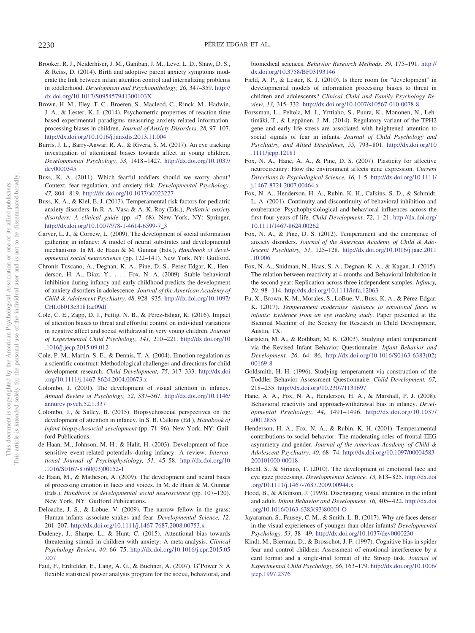- <span id="page-11-0"></span>Brooker, R. J., Neiderhiser, J. M., Ganiban, J. M., Leve, L. D., Shaw, D. S., & Reiss, D. (2014). Birth and adoptive parent anxiety symptoms moderate the link between infant attention control and internalizing problems in toddlerhood. *Development and Psychopathology, 26,* 347–359. [http://](http://dx.doi.org/10.1017/S095457941300103X) [dx.doi.org/10.1017/S095457941300103X](http://dx.doi.org/10.1017/S095457941300103X)
- <span id="page-11-5"></span>Brown, H. M., Eley, T. C., Broeren, S., Macleod, C., Rinck, M., Hadwin, J. A., & Lester, K. J. (2014). Psychometric properties of reaction time based experimental paradigms measuring anxiety-related informationprocessing biases in children. *Journal of Anxiety Disorders, 28,* 97–107. <http://dx.doi.org/10.1016/j.janxdis.2013.11.004>
- <span id="page-11-14"></span>Burris, J. L., Barry-Anwar, R. A., & Rivera, S. M. (2017). An eye tracking investigation of attentional biases towards affect in young children. *Developmental Psychology, 53,* 1418–1427. [http://dx.doi.org/10.1037/](http://dx.doi.org/10.1037/dev0000345) [dev0000345](http://dx.doi.org/10.1037/dev0000345)
- <span id="page-11-7"></span>Buss, K. A. (2011). Which fearful toddlers should we worry about? Context, fear regulation, and anxiety risk. *Developmental Psychology, 47,* 804–819. <http://dx.doi.org/10.1037/a0023227>
- <span id="page-11-9"></span>Buss, K. A., & Kiel, E. J. (2013). Temperamental risk factors for pediatric anxiety disorders. In R. A. Vasa & A. K. Roy (Eds.), *Pediatric anxiety disorders: A clinical guide* (pp. 47–68). New York, NY: Springer. [http://dx.doi.org/10.1007/978-1-4614-6599-7\\_3](http://dx.doi.org/10.1007/978-1-4614-6599-7_3)
- <span id="page-11-28"></span>Carver, L. J., & Cornew, L. (2009). The development of social information gathering in infancy: A model of neural substrates and developmental mechanisms. In M. de Haan & M. Gunnar (Eds.), *Handbook of developmental social neuroscience* (pp. 122–141). New York, NY: Guilford.
- <span id="page-11-10"></span>Chronis-Tuscano, A., Degnan, K. A., Pine, D. S., Perez-Edgar, K., Henderson, H. A., Diaz, Y.,... Fox, N. A. (2009). Stable behavioral inhibition during infancy and early childhood predicts the development of anxiety disorders in adolescence. *Journal of the American Academy of Child & Adolescent Psychiatry, 48,* 928–935. [http://dx.doi.org/10.1097/](http://dx.doi.org/10.1097/CHI.0b013e3181ae09df) [CHI.0b013e3181ae09df](http://dx.doi.org/10.1097/CHI.0b013e3181ae09df)
- <span id="page-11-24"></span>Cole, C. E., Zapp, D. J., Fettig, N. B., & Pérez-Edgar, K. (2016). Impact of attention biases to threat and effortful control on individual variations in negative affect and social withdrawal in very young children. *Journal of Experimental Child Psychology, 141,* 210–221. [http://dx.doi.org/10](http://dx.doi.org/10.1016/j.jecp.2015.09.012) [.1016/j.jecp.2015.09.012](http://dx.doi.org/10.1016/j.jecp.2015.09.012)
- <span id="page-11-30"></span>Cole, P. M., Martin, S. E., & Dennis, T. A. (2004). Emotion regulation as a scientific construct: Methodological challenges and directions for child development research. *Child Development, 75,* 317–333. [http://dx.doi](http://dx.doi.org/10.1111/j.1467-8624.2004.00673.x) [.org/10.1111/j.1467-8624.2004.00673.x](http://dx.doi.org/10.1111/j.1467-8624.2004.00673.x)
- <span id="page-11-22"></span>Colombo, J. (2001). The development of visual attention in infancy. *Annual Review of Psychology, 52,* 337–367. [http://dx.doi.org/10.1146/](http://dx.doi.org/10.1146/annurev.psych.52.1.337) [annurev.psych.52.1.337](http://dx.doi.org/10.1146/annurev.psych.52.1.337)
- <span id="page-11-20"></span>Colombo, J., & Salley, B. (2015). Biopsychosocial perspectives on the development of attention in infancy. In S. B. Calkins (Ed.), *Handbook of infant biopsychosocial sevelopment* (pp. 71–96). New York, NY: Guilford Publications.
- <span id="page-11-29"></span>de Haan, M., Johnson, M. H., & Halit, H. (2003). Development of facesensitive event-related potentials during infancy: A review. *International Journal of Psychophysiology, 51,* 45–58. [http://dx.doi.org/10](http://dx.doi.org/10.1016/S0167-8760%2803%2900152-1) [.1016/S0167-8760\(03\)00152-1](http://dx.doi.org/10.1016/S0167-8760%2803%2900152-1)
- <span id="page-11-27"></span>de Haan, M., & Matheson, A. (2009). The development and neural bases of processing emotion in faces and voices. In M. de Haan & M. Gunnar (Eds.), *Handbook of developmental social neuroscience* (pp. 107–120). New York, NY: Guilford Publications.
- <span id="page-11-4"></span>Deloache, J. S., & Lobue, V. (2009). The narrow fellow in the grass: Human infants associate snakes and fear. *Developmental Science, 12,* 201–207. <http://dx.doi.org/10.1111/j.1467-7687.2008.00753.x>
- <span id="page-11-6"></span>Dudeney, J., Sharpe, L., & Hunt, C. (2015). Attentional bias towards threatening stimuli in children with anxiety: A meta-analysis. *Clinical Psychology Review, 40,* 66–75. [http://dx.doi.org/10.1016/j.cpr.2015.05](http://dx.doi.org/10.1016/j.cpr.2015.05.007) [.007](http://dx.doi.org/10.1016/j.cpr.2015.05.007)
- <span id="page-11-15"></span>Faul, F., Erdfelder, E., Lang, A. G., & Buchner, A. (2007). G<sup>\*</sup>Power 3: A flexible statistical power analysis program for the social, behavioral, and

biomedical sciences. *Behavior Research Methods, 39,* 175–191. [http://](http://dx.doi.org/10.3758/BF03193146) [dx.doi.org/10.3758/BF03193146](http://dx.doi.org/10.3758/BF03193146)

- <span id="page-11-12"></span>Field, A. P., & Lester, K. J. (2010). Is there room for "development" in developmental models of information processing biases to threat in children and adolescents? *Clinical Child and Family Psychology Review, 13,* 315–332. <http://dx.doi.org/10.1007/s10567-010-0078-8>
- <span id="page-11-21"></span>Forssman, L., Peltola, M. J., Yrttiaho, S., Puura, K., Mononen, N., Lehtimäki, T., & Leppänen, J. M. (2014). Regulatory variant of the TPH2 gene and early life stress are associated with heightened attention to social signals of fear in infants. *Journal of Child Psychology and Psychiatry, and Allied Disciplines, 55,* 793–801. [http://dx.doi.org/10](http://dx.doi.org/10.1111/jcpp.12181) [.1111/jcpp.12181](http://dx.doi.org/10.1111/jcpp.12181)
- <span id="page-11-11"></span>Fox, N. A., Hane, A. A., & Pine, D. S. (2007). Plasticity for affective neurocircuitry: How the environment affects gene expression. *Current Directions in Psychological Science, 16,* 1–5. [http://dx.doi.org/10.1111/](http://dx.doi.org/10.1111/j.1467-8721.2007.00464.x) [j.1467-8721.2007.00464.x](http://dx.doi.org/10.1111/j.1467-8721.2007.00464.x)
- <span id="page-11-8"></span>Fox, N. A., Henderson, H. A., Rubin, K. H., Calkins, S. D., & Schmidt, L. A. (2001). Continuity and discontinuity of behavioral inhibition and exuberance: Psychophysiological and behavioral influences across the first four years of life. *Child Development, 72,* 1–21. [http://dx.doi.org/](http://dx.doi.org/10.1111/1467-8624.00262) [10.1111/1467-8624.00262](http://dx.doi.org/10.1111/1467-8624.00262)
- <span id="page-11-1"></span>Fox, N. A., & Pine, D. S. (2012). Temperament and the emergence of anxiety disorders. *Journal of the American Academy of Child & Adolescent Psychiatry, 51,* 125–128. [http://dx.doi.org/10.1016/j.jaac.2011](http://dx.doi.org/10.1016/j.jaac.2011.10.006) [.10.006](http://dx.doi.org/10.1016/j.jaac.2011.10.006)
- <span id="page-11-18"></span>Fox, N. A., Snidman, N., Haas, S. A., Degnan, K. A., & Kagan, J. (2015). The relation between reactivity at 4 months and Behavioral Inhibition in the second year: Replication across three independent samples. *Infancy, 20,* 98–114. <http://dx.doi.org/10.1111/infa.12063>
- <span id="page-11-25"></span>Fu, X., Brown, K. M., Morales, S., LoBue, V., Buss, K. A., & Pérez-Edgar, K. (2017). *Temperament moderates vigilance to emotional faces in infants: Evidence from an eye tracking study*. Paper presented at the Biennial Meeting of the Society for Research in Child Development, Austin, TX.
- <span id="page-11-16"></span>Gartstein, M. A., & Rothbart, M. K. (2003). Studying infant temperament via the Revised Infant Behavior Questionnaire. *Infant Behavior and Development, 26,* 64–86. [http://dx.doi.org/10.1016/S0163-6383\(02\)](http://dx.doi.org/10.1016/S0163-6383%2802%2900169-8) [00169-8](http://dx.doi.org/10.1016/S0163-6383%2802%2900169-8)
- <span id="page-11-17"></span>Goldsmith, H. H. (1996). Studying temperament via construction of the Toddler Behavior Assessment Questionnaire. *Child Development, 67,* 218–235. <http://dx.doi.org/10.2307/1131697>
- <span id="page-11-23"></span>Hane, A. A., Fox, N. A., Henderson, H. A., & Marshall, P. J. (2008). Behavioral reactivity and approach-withdrawal bias in infancy. *Developmental Psychology, 44,* 1491–1496. [http://dx.doi.org/10.1037/](http://dx.doi.org/10.1037/a0012855) [a0012855](http://dx.doi.org/10.1037/a0012855)
- <span id="page-11-19"></span>Henderson, H. A., Fox, N. A., & Rubin, K. H. (2001). Temperamental contributions to social behavior: The moderating roles of frontal EEG asymmetry and gender. *Journal of the American Academy of Child & Adolescent Psychiatry, 40,* 68–74. [http://dx.doi.org/10.1097/00004583-](http://dx.doi.org/10.1097/00004583-200101000-00018) [200101000-00018](http://dx.doi.org/10.1097/00004583-200101000-00018)
- <span id="page-11-2"></span>Hoehl, S., & Striano, T. (2010). The development of emotional face and eye gaze processing. *Developmental Science, 13,* 813–825. [http://dx.doi](http://dx.doi.org/10.1111/j.1467-7687.2009.00944.x) [.org/10.1111/j.1467-7687.2009.00944.x](http://dx.doi.org/10.1111/j.1467-7687.2009.00944.x)
- <span id="page-11-3"></span>Hood, B., & Atkinson, J. (1993). Disengaging visual attention in the infant and adult. *Infant Behavior and Development, 16,* 405–422. [http://dx.doi](http://dx.doi.org/10.1016/0163-6383%2893%2980001-O) [.org/10.1016/0163-6383\(93\)80001-O](http://dx.doi.org/10.1016/0163-6383%2893%2980001-O)
- <span id="page-11-26"></span>Jayaraman, S., Fausey, C. M., & Smith, L. B. (2017). Why are faces denser in the visual experiences of younger than older infants? *Developmental Psychology, 53,* 38–49. <http://dx.doi.org/10.1037/dev0000230>
- <span id="page-11-13"></span>Kindt, M., Bierman, D., & Brosschot, J. F. (1997). Cognitive bias in spider fear and control children: Assessment of emotional interference by a card format and a single-trial format of the Stroop task. *Journal of Experimental Child Psychology, 66,* 163–179. [http://dx.doi.org/10.1006/](http://dx.doi.org/10.1006/jecp.1997.2376) [jecp.1997.2376](http://dx.doi.org/10.1006/jecp.1997.2376)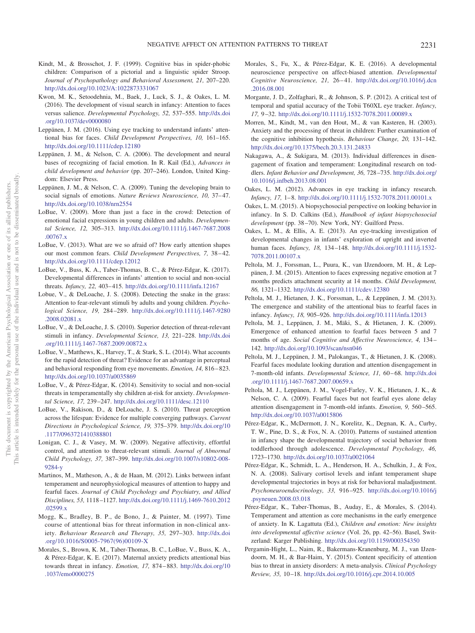- <span id="page-12-19"></span>Kindt, M., & Brosschot, J. F. (1999). Cognitive bias in spider-phobic children: Comparison of a pictorial and a linguistic spider Stroop. *Journal of Psychopathology and Behavioral Assessment, 21,* 207–220. <http://dx.doi.org/10.1023/A:1022873331067>
- <span id="page-12-6"></span>Kwon, M. K., Setoodehnia, M., Baek, J., Luck, S. J., & Oakes, L. M. (2016). The development of visual search in infancy: Attention to faces versus salience. *Developmental Psychology, 52,* 537–555. [http://dx.doi](http://dx.doi.org/10.1037/dev0000080) [.org/10.1037/dev0000080](http://dx.doi.org/10.1037/dev0000080)
- <span id="page-12-24"></span>Leppänen, J. M. (2016). Using eye tracking to understand infants' attentional bias for faces. *Child Development Perspectives, 10,* 161–165. <http://dx.doi.org/10.1111/cdep.12180>
- <span id="page-12-4"></span>Leppänen, J. M., & Nelson, C. A. (2006). The development and neural bases of recognizing of facial emotion. In R. Kail (Ed.), *Advances in child development and behavior* (pp. 207–246). London, United Kingdom: Elsevier Press.
- <span id="page-12-5"></span>Leppänen, J. M., & Nelson, C. A. (2009). Tuning the developing brain to social signals of emotions. *Nature Reviews Neuroscience, 10,* 37–47. <http://dx.doi.org/10.1038/nrn2554>
- <span id="page-12-29"></span>LoBue, V. (2009). More than just a face in the crowd: Detection of emotional facial expressions in young children and adults. *Developmental Science, 12,* 305–313. [http://dx.doi.org/10.1111/j.1467-7687.2008](http://dx.doi.org/10.1111/j.1467-7687.2008.00767.x) [.00767.x](http://dx.doi.org/10.1111/j.1467-7687.2008.00767.x)
- <span id="page-12-13"></span>LoBue, V. (2013). What are we so afraid of? How early attention shapes our most common fears. *Child Development Perspectives, 7,* 38–42. <http://dx.doi.org/10.1111/cdep.12012>
- <span id="page-12-21"></span>LoBue, V., Buss, K. A., Taber-Thomas, B. C., & Pérez-Edgar, K. (2017). Developmental differences in infants' attention to social and non-social threats. *Infancy, 22,* 403–415. <http://dx.doi.org/10.1111/infa.12167>
- <span id="page-12-18"></span>Lobue, V., & DeLoache, J. S. (2008). Detecting the snake in the grass: Attention to fear-relevant stimuli by adults and young children. *Psychological Science, 19,* 284–289. [http://dx.doi.org/10.1111/j.1467-9280](http://dx.doi.org/10.1111/j.1467-9280.2008.02081.x) [.2008.02081.x](http://dx.doi.org/10.1111/j.1467-9280.2008.02081.x)
- <span id="page-12-10"></span>LoBue, V., & DeLoache, J. S. (2010). Superior detection of threat-relevant stimuli in infancy. *Developmental Science, 13,* 221–228. [http://dx.doi](http://dx.doi.org/10.1111/j.1467-7687.2009.00872.x) [.org/10.1111/j.1467-7687.2009.00872.x](http://dx.doi.org/10.1111/j.1467-7687.2009.00872.x)
- <span id="page-12-12"></span>LoBue, V., Matthews, K., Harvey, T., & Stark, S. L. (2014). What accounts for the rapid detection of threat? Evidence for an advantage in perceptual and behavioral responding from eye movements. *Emotion, 14,* 816–823. <http://dx.doi.org/10.1037/a0035869>
- <span id="page-12-32"></span>LoBue, V., & Pérez-Edgar, K. (2014). Sensitivity to social and non-social threats in temperamentally shy children at-risk for anxiety. *Developmental Science, 17,* 239–247. <http://dx.doi.org/10.1111/desc.12110>
- <span id="page-12-7"></span>LoBue, V., Rakison, D., & DeLoache, J. S. (2010). Threat perception across the lifespan: Evidence for multiple converging pathways. *Current Directions in Psychological Science, 19,* 375–379. [http://dx.doi.org/10](http://dx.doi.org/10.1177/0963721410388801) [.1177/0963721410388801](http://dx.doi.org/10.1177/0963721410388801)
- <span id="page-12-30"></span>Lonigan, C. J., & Vasey, M. W. (2009). Negative affectivity, effortful control, and attention to threat-relevant stimuli. *Journal of Abnormal Child Psychology, 37,* 387–399. [http://dx.doi.org/10.1007/s10802-008-](http://dx.doi.org/10.1007/s10802-008-9284-y) [9284-y](http://dx.doi.org/10.1007/s10802-008-9284-y)
- <span id="page-12-16"></span>Martinos, M., Matheson, A., & de Haan, M. (2012). Links between infant temperament and neurophysiological measures of attention to happy and fearful faces. *Journal of Child Psychology and Psychiatry, and Allied Disciplines, 53,* 1118–1127. [http://dx.doi.org/10.1111/j.1469-7610.2012](http://dx.doi.org/10.1111/j.1469-7610.2012.02599.x) [.02599.x](http://dx.doi.org/10.1111/j.1469-7610.2012.02599.x)
- <span id="page-12-23"></span>Mogg, K., Bradley, B. P., de Bono, J., & Painter, M. (1997). Time course of attentional bias for threat information in non-clinical anxiety. *Behaviour Research and Therapy, 35,* 297–303. [http://dx.doi](http://dx.doi.org/10.1016/S0005-7967%2896%2900109-X) [.org/10.1016/S0005-7967\(96\)00109-X](http://dx.doi.org/10.1016/S0005-7967%2896%2900109-X)
- <span id="page-12-17"></span>Morales, S., Brown, K. M., Taber-Thomas, B. C., LoBue, V., Buss, K. A., & Pérez-Edgar, K. E. (2017). Maternal anxiety predicts attentional bias towards threat in infancy. *Emotion, 17,* 874–883. [http://dx.doi.org/10](http://dx.doi.org/10.1037/emo0000275) [.1037/emo0000275](http://dx.doi.org/10.1037/emo0000275)
- <span id="page-12-0"></span>Morales, S., Fu, X., & Pérez-Edgar, K. E. (2016). A developmental neuroscience perspective on affect-biased attention. *Developmental Cognitive Neuroscience, 21,* 26–41. [http://dx.doi.org/10.1016/j.dcn](http://dx.doi.org/10.1016/j.dcn.2016.08.001) [.2016.08.001](http://dx.doi.org/10.1016/j.dcn.2016.08.001)
- <span id="page-12-25"></span>Morgante, J. D., Zolfaghari, R., & Johnson, S. P. (2012). A critical test of temporal and spatial accuracy of the Tobii T60XL eye tracker. *Infancy, 17,* 9–32. <http://dx.doi.org/10.1111/j.1532-7078.2011.00089.x>
- <span id="page-12-20"></span>Morren, M., Kindt, M., van den Hout, M., & van Kasteren, H. (2003). Anxiety and the processing of threat in children: Further examination of the cognitive inhibition hypothesis. *Behaviour Change, 20,* 131–142. <http://dx.doi.org/10.1375/bech.20.3.131.24833>
- <span id="page-12-15"></span>Nakagawa, A., & Sukigara, M. (2013). Individual differences in disengagement of fixation and temperament: Longitudinal research on toddlers. *Infant Behavior and Development, 36,* 728–735. [http://dx.doi.org/](http://dx.doi.org/10.1016/j.infbeh.2013.08.001) [10.1016/j.infbeh.2013.08.001](http://dx.doi.org/10.1016/j.infbeh.2013.08.001)
- <span id="page-12-22"></span>Oakes, L. M. (2012). Advances in eye tracking in infancy research. *Infancy, 17,* 1–8. <http://dx.doi.org/10.1111/j.1532-7078.2011.00101.x>
- <span id="page-12-31"></span>Oakes, L. M. (2015). A biopsychosocial perspective on looking behavior in infancy. In S. D. Calkins (Ed.), *Handbook of infant biopsychosocial development* (pp. 38–70). New York, NY: Guilford Press.
- <span id="page-12-28"></span>Oakes, L. M., & Ellis, A. E. (2013). An eye-tracking investigation of developmental changes in infants' exploration of upright and inverted human faces. *Infancy, 18,* 134–148. [http://dx.doi.org/10.1111/j.1532-](http://dx.doi.org/10.1111/j.1532-7078.2011.00107.x) [7078.2011.00107.x](http://dx.doi.org/10.1111/j.1532-7078.2011.00107.x)
- <span id="page-12-11"></span>Peltola, M. J., Forssman, L., Puura, K., van IJzendoorn, M. H., & Leppänen, J. M. (2015). Attention to faces expressing negative emotion at 7 months predicts attachment security at 14 months. *Child Development, 86,* 1321–1332. <http://dx.doi.org/10.1111/cdev.12380>
- <span id="page-12-9"></span>Peltola, M. J., Hietanen, J. K., Forssman, L., & Leppänen, J. M. (2013). The emergence and stability of the attentional bias to fearful faces in infancy. *Infancy, 18,* 905–926. <http://dx.doi.org/10.1111/infa.12013>
- <span id="page-12-2"></span>Peltola, M. J., Leppänen, J. M., Mäki, S., & Hietanen, J. K. (2009). Emergence of enhanced attention to fearful faces between 5 and 7 months of age. *Social Cognitive and Affective Neuroscience, 4,* 134– 142. <http://dx.doi.org/10.1093/scan/nsn046>
- <span id="page-12-8"></span>Peltola, M. J., Leppänen, J. M., Palokangas, T., & Hietanen, J. K. (2008). Fearful faces modulate looking duration and attention disengagement in 7-month-old infants. *Developmental Science, 11,* 60–68. [http://dx.doi](http://dx.doi.org/10.1111/j.1467-7687.2007.00659.x) [.org/10.1111/j.1467-7687.2007.00659.x](http://dx.doi.org/10.1111/j.1467-7687.2007.00659.x)
- <span id="page-12-3"></span>Peltola, M. J., Leppänen, J. M., Vogel-Farley, V. K., Hietanen, J. K., & Nelson, C. A. (2009). Fearful faces but not fearful eyes alone delay attention disengagement in 7-month-old infants. *Emotion, 9,* 560–565. <http://dx.doi.org/10.1037/a0015806>
- <span id="page-12-14"></span>Pérez-Edgar, K., McDermott, J. N., Korelitz, K., Degnan, K. A., Curby, T. W., Pine, D. S., & Fox, N. A. (2010). Patterns of sustained attention in infancy shape the developmental trajectory of social behavior from toddlerhood through adolescence. *Developmental Psychology, 46,* 1723–1730. <http://dx.doi.org/10.1037/a0021064>
- <span id="page-12-26"></span>Pérez-Edgar, K., Schmidt, L. A., Henderson, H. A., Schulkin, J., & Fox, N. A. (2008). Salivary cortisol levels and infant temperament shape developmental trajectories in boys at risk for behavioral maladjustment. *Psychoneuroendocrinology, 33,* 916–925. [http://dx.doi.org/10.1016/j](http://dx.doi.org/10.1016/j.psyneuen.2008.03.018) [.psyneuen.2008.03.018](http://dx.doi.org/10.1016/j.psyneuen.2008.03.018)
- <span id="page-12-1"></span>Pérez-Edgar, K., Taber-Thomas, B., Auday, E., & Morales, S. (2014). Temperament and attention as core mechanisms in the early emergence of anxiety. In K. Lagattuta (Ed.), *Children and emotion: New insights into developmental affective science* (Vol. 26, pp. 42–56). Basel, Switzerland: Karger Publishing. <http://dx.doi.org/10.1159/000354350>
- <span id="page-12-27"></span>Pergamin-Hight, L., Naim, R., Bakermans-Kranenburg, M. J., van IJzendoorn, M. H., & Bar-Haim, Y. (2015). Content specificity of attention bias to threat in anxiety disorders: A meta-analysis. *Clinical Psychology Review, 35,* 10–18. <http://dx.doi.org/10.1016/j.cpr.2014.10.005>